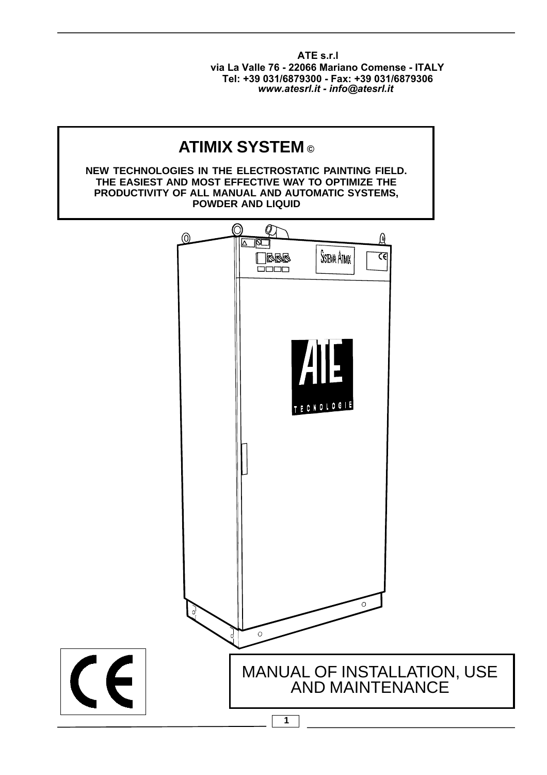**ATE s.r.l** *www.atesrl.it - info@atesrl.it* **Tel: +39 031/6879300 - Fax: +39 031/6879306 via La Valle 76 - 22066 Mariano Comense - ITALY**

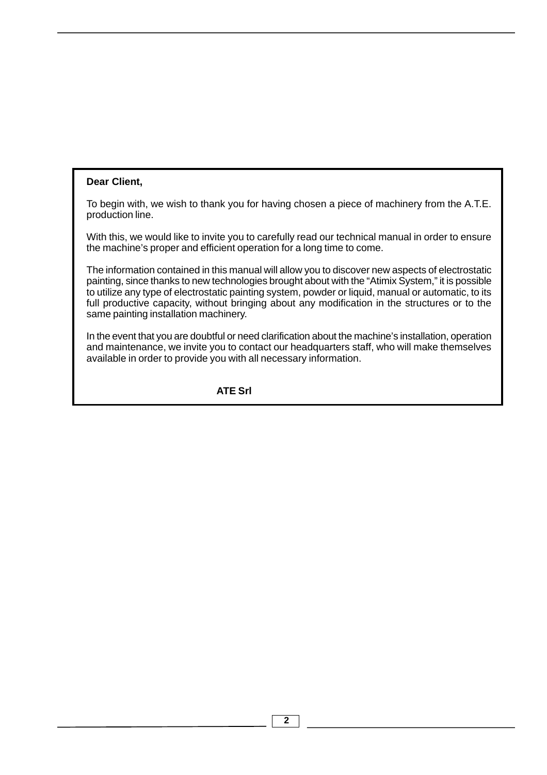#### **Dear Client,**

To begin with, we wish to thank you for having chosen a piece of machinery from the A.T.E. production line.

With this, we would like to invite you to carefully read our technical manual in order to ensure the machine's proper and efficient operation for a long time to come.

The information contained in this manual will allow you to discover new aspects of electrostatic painting, since thanks to new technologies brought about with the "Atimix System," it is possible to utilize any type of electrostatic painting system, powder or liquid, manual or automatic, to its full productive capacity, without bringing about any modification in the structures or to the same painting installation machinery.

In the event that you are doubtful or need clarification about the machine's installation, operation and maintenance, we invite you to contact our headquarters staff, who will make themselves available in order to provide you with all necessary information.

#### **ATE Srl**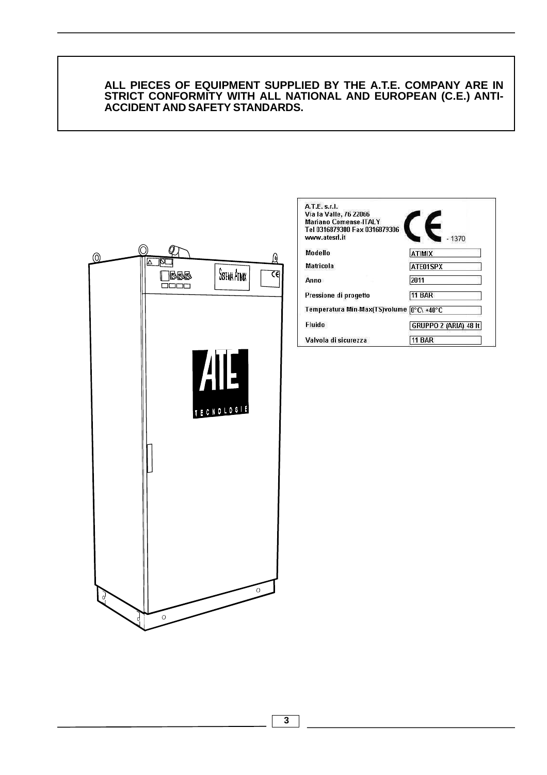#### **ALL PIECES OF EQUIPMENT SUPPLIED BY THE A.T.E. COMPANY ARE IN STRICT CONFORMITY WITH ALL NATIONAL AND EUROPEAN (C.E.) ANTI-ACCIDENT AND SAFETY STANDARDS.**



| A.T.E. s.f.<br>Via la Valle, 76 22066<br>Mariano Comense-ITAI Y<br>Tel 0316879300 Fax 0316879306 |                       |
|--------------------------------------------------------------------------------------------------|-----------------------|
| www.atesrl.it                                                                                    |                       |
| Modello                                                                                          | ATIMIX                |
| <b>Matricola</b>                                                                                 | ATE01SPX              |
| Anno                                                                                             | 2011                  |
| Pressione di progetto                                                                            | <b>11 BAR</b>         |
| Temperatura Min-Max(TS)volume  0°C\ +40°C                                                        |                       |
| Fluido                                                                                           | GRUPPO 2 (ARIA) 48 It |
| Valvola di sicurezza                                                                             | 1 BAR                 |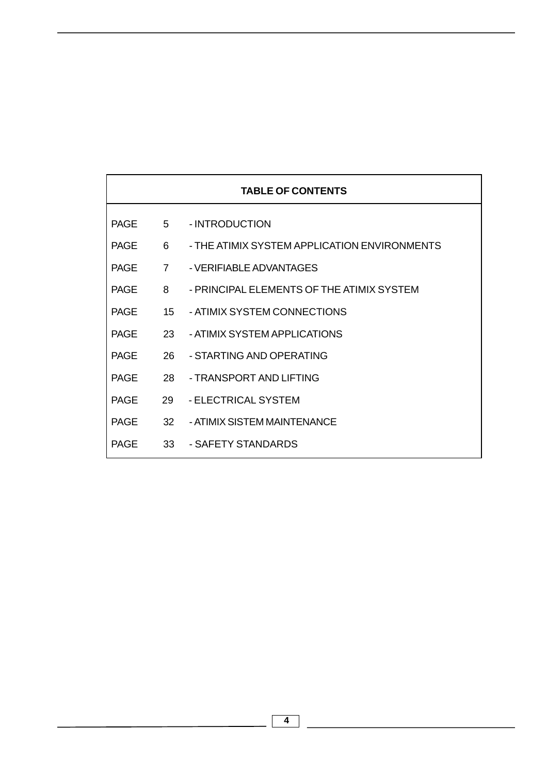| <b>TABLE OF CONTENTS</b> |                 |                                              |  |  |
|--------------------------|-----------------|----------------------------------------------|--|--|
| <b>PAGE</b>              | $5 -$           | - INTRODUCTION                               |  |  |
| <b>PAGF</b>              | 6               | - THE ATIMIX SYSTEM APPLICATION ENVIRONMENTS |  |  |
| <b>PAGF</b>              | $\overline{7}$  | - VERIFIABLE ADVANTAGES                      |  |  |
| <b>PAGF</b>              | 8               | - PRINCIPAL ELEMENTS OF THE ATIMIX SYSTEM    |  |  |
| <b>PAGF</b>              | 15 <sup>1</sup> | - ATIMIX SYSTEM CONNECTIONS                  |  |  |
| <b>PAGF</b>              | 23              | - ATIMIX SYSTEM APPLICATIONS                 |  |  |
| <b>PAGE</b>              | 26              | - STARTING AND OPERATING                     |  |  |
| <b>PAGE</b>              | 28.             | - TRANSPORT AND LIFTING                      |  |  |
| <b>PAGE</b>              | 29              | - ELECTRICAL SYSTEM                          |  |  |
| <b>PAGE</b>              | 32 <sup>2</sup> | - ATIMIX SISTEM MAINTENANCE                  |  |  |
| <b>PAGE</b>              | 33              | - SAFETY STANDARDS                           |  |  |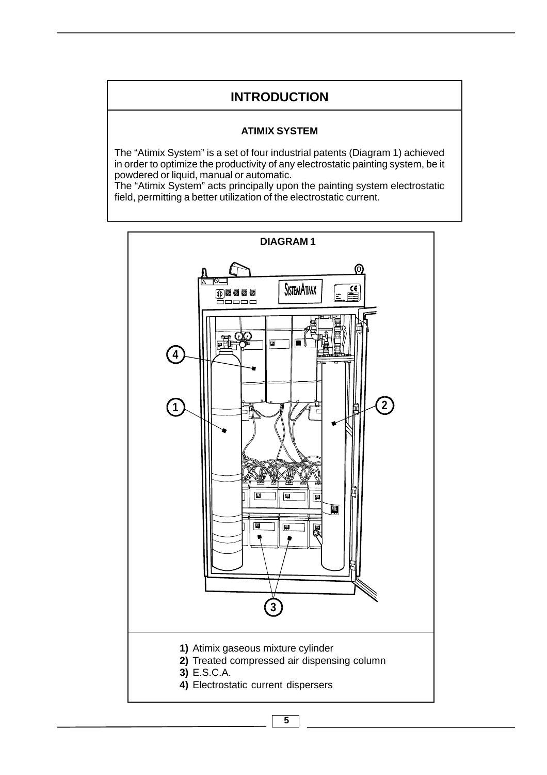# **INTRODUCTION**

#### **ATIMIX SYSTEM**

The "Atimix System" is a set of four industrial patents (Diagram 1) achieved in order to optimize the productivity of any electrostatic painting system, be it powdered or liquid, manual or automatic.

The "Atimix System" acts principally upon the painting system electrostatic field, permitting a better utilization of the electrostatic current.

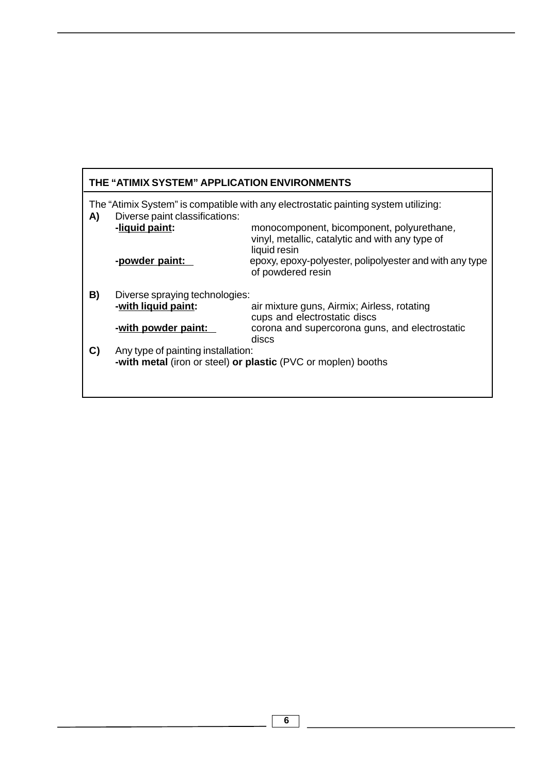| THE "ATIMIX SYSTEM" APPLICATION ENVIRONMENTS                                                                                |                                                                                                     |                                                                                                              |  |  |
|-----------------------------------------------------------------------------------------------------------------------------|-----------------------------------------------------------------------------------------------------|--------------------------------------------------------------------------------------------------------------|--|--|
| The "Atimix System" is compatible with any electrostatic painting system utilizing:<br>Diverse paint classifications:<br>A) |                                                                                                     |                                                                                                              |  |  |
|                                                                                                                             | -liquid paint:                                                                                      | monocomponent, bicomponent, polyurethane,<br>vinyl, metallic, catalytic and with any type of<br>liquid resin |  |  |
|                                                                                                                             | -powder paint:                                                                                      | epoxy, epoxy-polyester, polipolyester and with any type<br>of powdered resin                                 |  |  |
| B)                                                                                                                          | Diverse spraying technologies:                                                                      |                                                                                                              |  |  |
|                                                                                                                             | -with liquid paint:                                                                                 | air mixture guns, Airmix; Airless, rotating<br>cups and electrostatic discs                                  |  |  |
|                                                                                                                             | -with powder paint:                                                                                 | corona and supercorona guns, and electrostatic<br>discs                                                      |  |  |
| C)                                                                                                                          | Any type of painting installation:<br>-with metal (iron or steel) or plastic (PVC or moplen) booths |                                                                                                              |  |  |
|                                                                                                                             |                                                                                                     |                                                                                                              |  |  |

<u> 1980 - Johann Barbara, martxa amerikan per</u>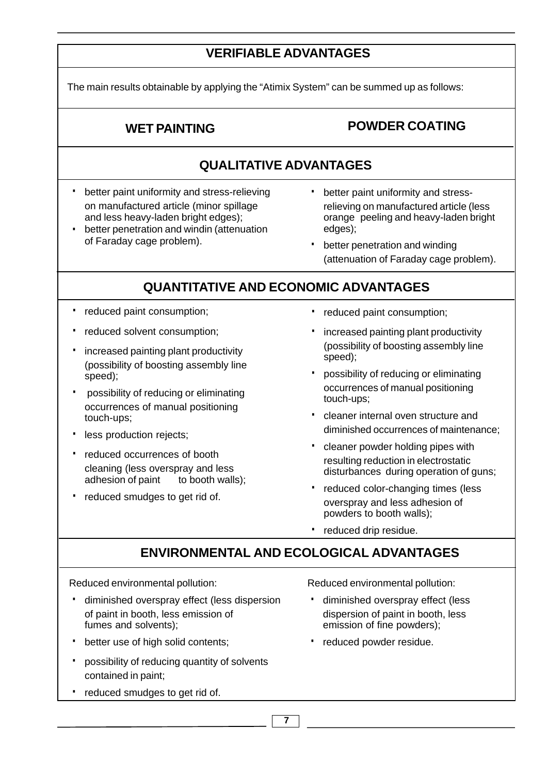# **VERIFIABLE ADVANTAGES**

The main results obtainable by applying the "Atimix System" can be summed up as follows:

# **WET PAINTING POWDER COATING**

# **QUALITATIVE ADVANTAGES**

- · better paint uniformity and stress-relieving on manufactured article (minor spillage and less heavy-laden bright edges);
- better penetration and windin (attenuation of Faraday cage problem). ·
- better paint uniformity and stressrelieving on manufactured article (less orange peeling and heavy-laden bright edges);
- better penetration and winding (attenuation of Faraday cage problem).

# **QUANTITATIVE AND ECONOMIC ADVANTAGES**

- · reduced paint consumption;
- · reduced solvent consumption;
- · increased painting plant productivity (possibility of boosting assembly line speed);
- possibility of reducing or eliminating occurrences of manual positioning touch-ups;
- · less production rejects;
- · reduced occurrences of booth cleaning (less overspray and less adhesion of paint to booth walls);
- reduced smudges to get rid of.
- · reduced paint consumption;
- · increased painting plant productivity (possibility of boosting assembly line speed);
- · possibility of reducing or eliminating occurrences of manual positioning touch-ups;
- · cleaner internal oven structure and diminished occurrences of maintenance;
- · cleaner powder holding pipes with resulting reduction in electrostatic disturbances during operation of guns;
- reduced color-changing times (less overspray and less adhesion of powders to booth walls);
- · reduced drip residue.

# **ENVIRONMENTAL AND ECOLOGICAL ADVANTAGES**

Reduced environmental pollution:

- · diminished overspray effect (less dispersion of paint in booth, less emission of fumes and solvents);
- · better use of high solid contents;
- · possibility of reducing quantity of solvents contained in paint;
- reduced smudges to get rid of.

Reduced environmental pollution:

- · diminished overspray effect (less dispersion of paint in booth, less emission of fine powders);
- · reduced powder residue.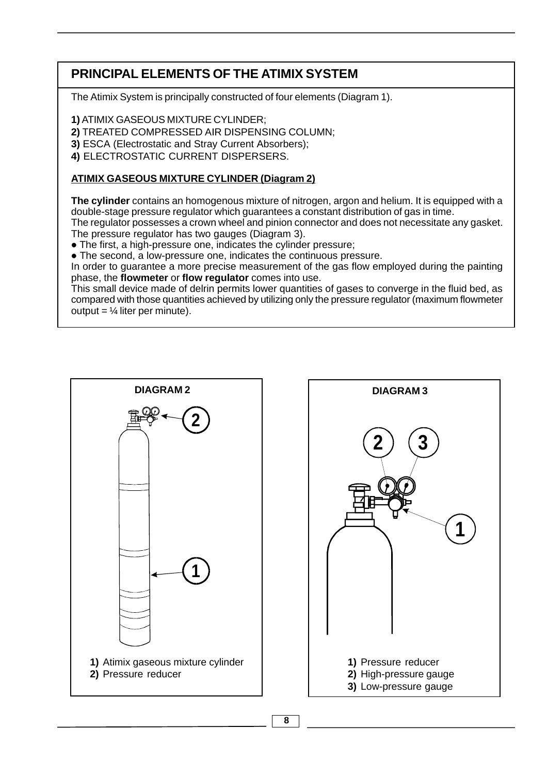# **PRINCIPAL ELEMENTS OF THE ATIMIX SYSTEM**

The Atimix System is principally constructed of four elements (Diagram 1).

**1)** ATIMIX GASEOUS MIXTURE CYLINDER;

**2)** TREATED COMPRESSED AIR DISPENSING COLUMN;

**3)** ESCA (Electrostatic and Stray Current Absorbers);

**4)** ELECTROSTATIC CURRENT DISPERSERS.

# **ATIMIX GASEOUS MIXTURE CYLINDER (Diagram 2)**

**The cylinder** contains an homogenous mixture of nitrogen, argon and helium. It is equipped with a double-stage pressure regulator which guarantees a constant distribution of gas in time.

The regulator possesses a crown wheel and pinion connector and does not necessitate any gasket. The pressure regulator has two gauges (Diagram 3).

• The first, a high-pressure one, indicates the cylinder pressure;

• The second, a low-pressure one, indicates the continuous pressure.

In order to guarantee a more precise measurement of the gas flow employed during the painting phase, the **flowmeter** or **flow regulator** comes into use.

This small device made of delrin permits lower quantities of gases to converge in the fluid bed, as compared with those quantities achieved by utilizing only the pressure regulator (maximum flowmeter output =  $\frac{1}{4}$  liter per minute).



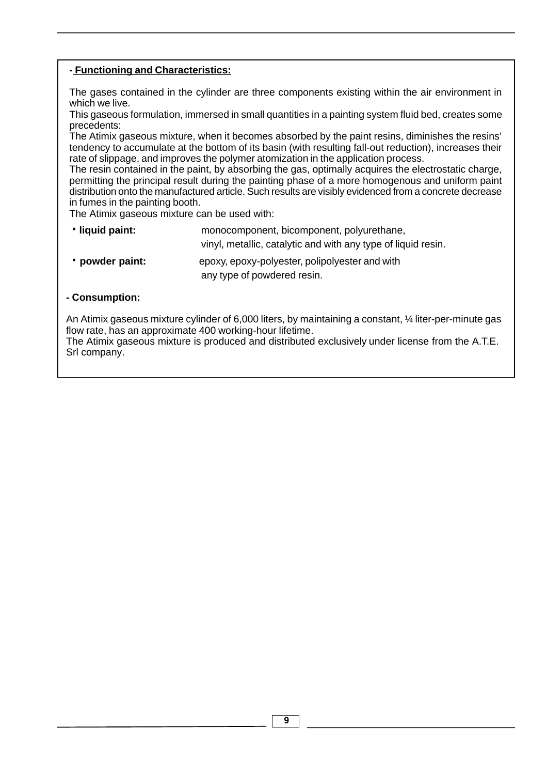### **- Functioning and Characteristics:**

The gases contained in the cylinder are three components existing within the air environment in which we live.

This gaseous formulation, immersed in small quantities in a painting system fluid bed, creates some precedents:

The Atimix gaseous mixture, when it becomes absorbed by the paint resins, diminishes the resins' tendency to accumulate at the bottom of its basin (with resulting fall-out reduction), increases their rate of slippage, and improves the polymer atomization in the application process.

The resin contained in the paint, by absorbing the gas, optimally acquires the electrostatic charge, permitting the principal result during the painting phase of a more homogenous and uniform paint distribution onto the manufactured article. Such results are visibly evidenced from a concrete decrease in fumes in the painting booth.

The Atimix gaseous mixture can be used with:

- ·**liquid paint:** monocomponent, bicomponent, polyurethane, vinyl, metallic, catalytic and with any type of liquid resin.
- any type of powdered resin. ·**powder paint:** epoxy, epoxy-polyester, polipolyester and with

### **- Consumption:**

An Atimix gaseous mixture cylinder of 6,000 liters, by maintaining a constant,  $\frac{1}{4}$  liter-per-minute gas flow rate, has an approximate 400 working-hour lifetime.

The Atimix gaseous mixture is produced and distributed exclusively under license from the A.T.E. Srl company.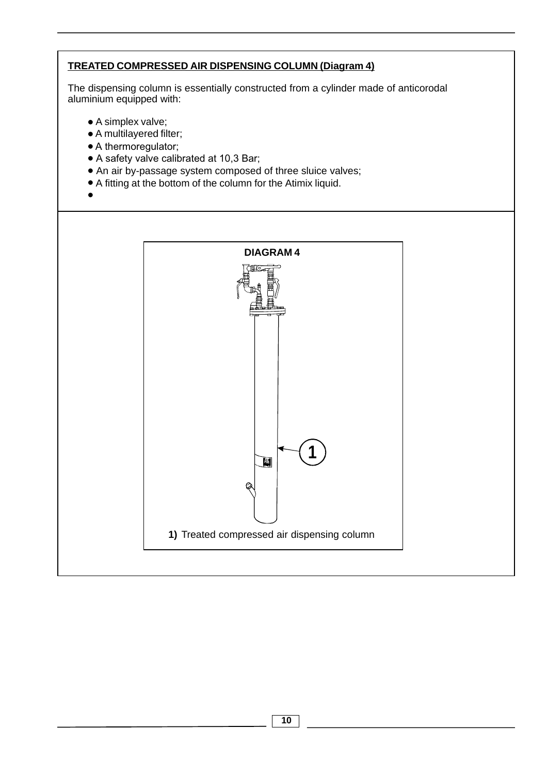# **TREATED COMPRESSED AIR DISPENSING COLUMN (Diagram 4)**

The dispensing column is essentially constructed from a cylinder made of anticorodal aluminium equipped with:

- A simplex valve;
- A multilayered filter;
- A thermoregulator;
- A safety valve calibrated at 10,3 Bar;
- An air by-passage system composed of three sluice valves;
- A fitting at the bottom of the column for the Atimix liquid.
- •

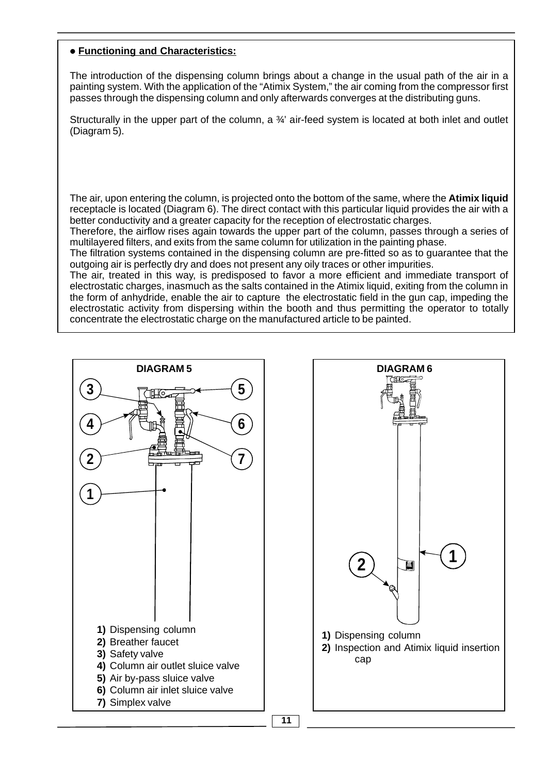#### **• Functioning and Characteristics:**

The introduction of the dispensing column brings about a change in the usual path of the air in a painting system. With the application of the "Atimix System," the air coming from the compressor first passes through the dispensing column and only afterwards converges at the distributing guns.

Structurally in the upper part of the column, a  $\frac{3}{4}$  air-feed system is located at both inlet and outlet (Diagram 5).

The air, upon entering the column, is projected onto the bottom of the same, where the **Atimix liquid** receptacle is located (Diagram 6). The direct contact with this particular liquid provides the air with a better conductivity and a greater capacity for the reception of electrostatic charges.

Therefore, the airflow rises again towards the upper part of the column, passes through a series of multilayered filters, and exits from the same column for utilization in the painting phase.

The filtration systems contained in the dispensing column are pre-fitted so as to guarantee that the outgoing air is perfectly dry and does not present any oily traces or other impurities.

The air, treated in this way, is predisposed to favor a more efficient and immediate transport of electrostatic charges, inasmuch as the salts contained in the Atimix liquid, exiting from the column in the form of anhydride, enable the air to capture the electrostatic field in the gun cap, impeding the electrostatic activity from dispersing within the booth and thus permitting the operator to totally concentrate the electrostatic charge on the manufactured article to be painted.



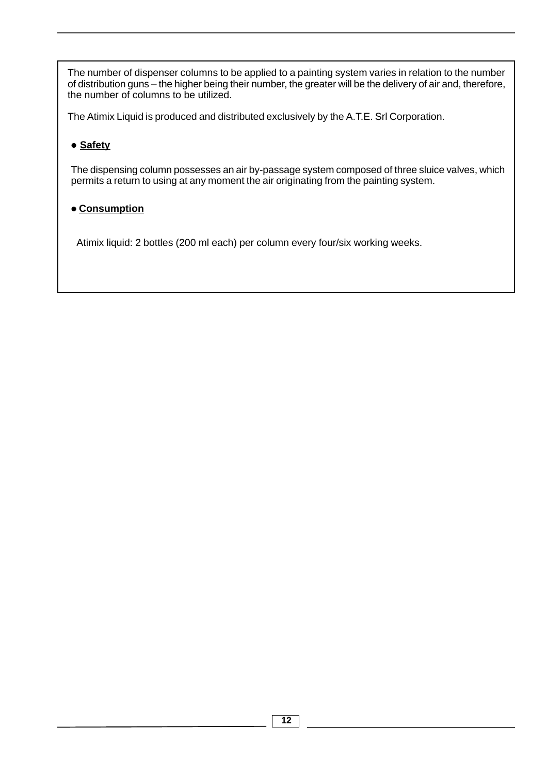The number of dispenser columns to be applied to a painting system varies in relation to the number of distribution guns – the higher being their number, the greater will be the delivery of air and, therefore, the number of columns to be utilized.

The Atimix Liquid is produced and distributed exclusively by the A.T.E. Srl Corporation.

# **• Safety**

The dispensing column possesses an air by-passage system composed of three sluice valves, which permits a return to using at any moment the air originating from the painting system.

# **• Consumption**

Atimix liquid: 2 bottles (200 ml each) per column every four/six working weeks.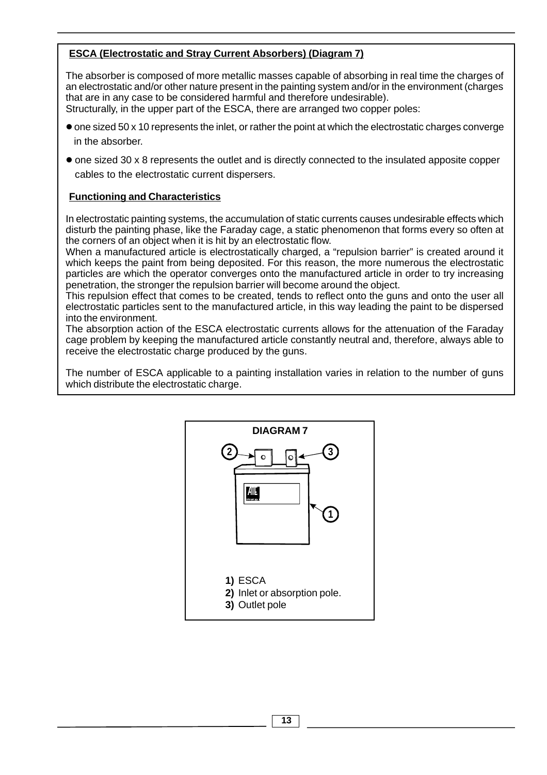# **ESCA (Electrostatic and Stray Current Absorbers) (Diagram 7)**

The absorber is composed of more metallic masses capable of absorbing in real time the charges of an electrostatic and/or other nature present in the painting system and/or in the environment (charges that are in any case to be considered harmful and therefore undesirable). Structurally, in the upper part of the ESCA, there are arranged two copper poles:

- one sized 50 x 10 represents the inlet, or rather the point at which the electrostatic charges converge in the absorber.
- one sized 30 x 8 represents the outlet and is directly connected to the insulated apposite copper cables to the electrostatic current dispersers.

### **Functioning and Characteristics**

In electrostatic painting systems, the accumulation of static currents causes undesirable effects which disturb the painting phase, like the Faraday cage, a static phenomenon that forms every so often at the corners of an object when it is hit by an electrostatic flow.

When a manufactured article is electrostatically charged, a "repulsion barrier" is created around it which keeps the paint from being deposited. For this reason, the more numerous the electrostatic particles are which the operator converges onto the manufactured article in order to try increasing penetration, the stronger the repulsion barrier will become around the object.

This repulsion effect that comes to be created, tends to reflect onto the guns and onto the user all electrostatic particles sent to the manufactured article, in this way leading the paint to be dispersed into the environment.

The absorption action of the ESCA electrostatic currents allows for the attenuation of the Faraday cage problem by keeping the manufactured article constantly neutral and, therefore, always able to receive the electrostatic charge produced by the guns.

The number of ESCA applicable to a painting installation varies in relation to the number of guns which distribute the electrostatic charge.

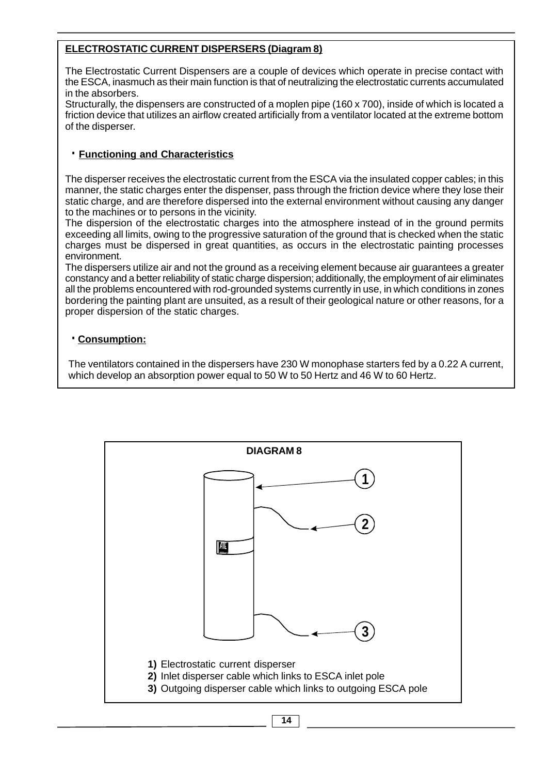# **ELECTROSTATIC CURRENT DISPERSERS (Diagram 8)**

The Electrostatic Current Dispensers are a couple of devices which operate in precise contact with the ESCA, inasmuch as their main function is that of neutralizing the electrostatic currents accumulated in the absorbers.

Structurally, the dispensers are constructed of a moplen pipe (160 x 700), inside of which is located a friction device that utilizes an airflow created artificially from a ventilator located at the extreme bottom of the disperser.

### ·**Functioning and Characteristics**

The disperser receives the electrostatic current from the ESCA via the insulated copper cables; in this manner, the static charges enter the dispenser, pass through the friction device where they lose their static charge, and are therefore dispersed into the external environment without causing any danger to the machines or to persons in the vicinity.

The dispersion of the electrostatic charges into the atmosphere instead of in the ground permits exceeding all limits, owing to the progressive saturation of the ground that is checked when the static charges must be dispersed in great quantities, as occurs in the electrostatic painting processes environment.

The dispersers utilize air and not the ground as a receiving element because air guarantees a greater constancy and a better reliability of static charge dispersion; additionally, the employment of air eliminates all the problems encountered with rod-grounded systems currently in use, in which conditions in zones bordering the painting plant are unsuited, as a result of their geological nature or other reasons, for a proper dispersion of the static charges.

#### ·**Consumption:**

The ventilators contained in the dispersers have 230 W monophase starters fed by a 0.22 A current, which develop an absorption power equal to 50 W to 50 Hertz and 46 W to 60 Hertz.



**14**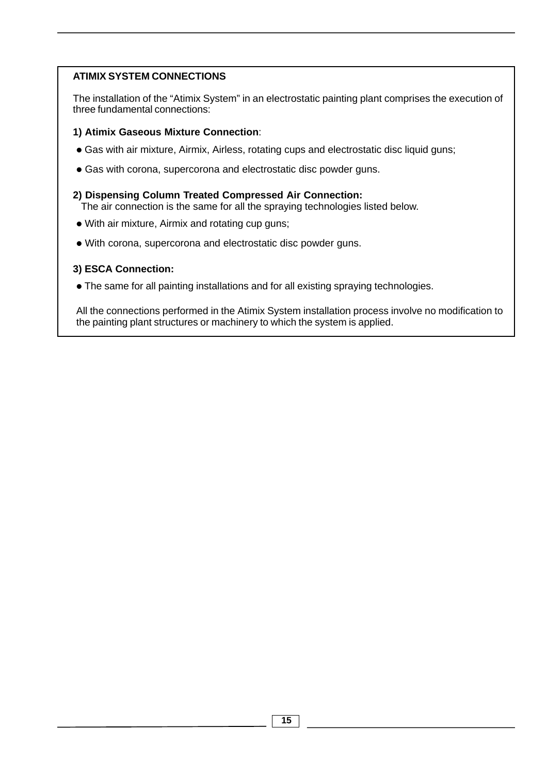## **ATIMIX SYSTEM CONNECTIONS**

The installation of the "Atimix System" in an electrostatic painting plant comprises the execution of three fundamental connections:

#### **1) Atimix Gaseous Mixture Connection**:

- **•** Gas with air mixture, Airmix, Airless, rotating cups and electrostatic disc liquid guns;
- **•** Gas with corona, supercorona and electrostatic disc powder guns.
- **2) Dispensing Column Treated Compressed Air Connection:** The air connection is the same for all the spraying technologies listed below.
- **•** With air mixture, Airmix and rotating cup guns;
- **•** With corona, supercorona and electrostatic disc powder guns.

### **3) ESCA Connection:**

**•** The same for all painting installations and for all existing spraying technologies.

All the connections performed in the Atimix System installation process involve no modification to the painting plant structures or machinery to which the system is applied.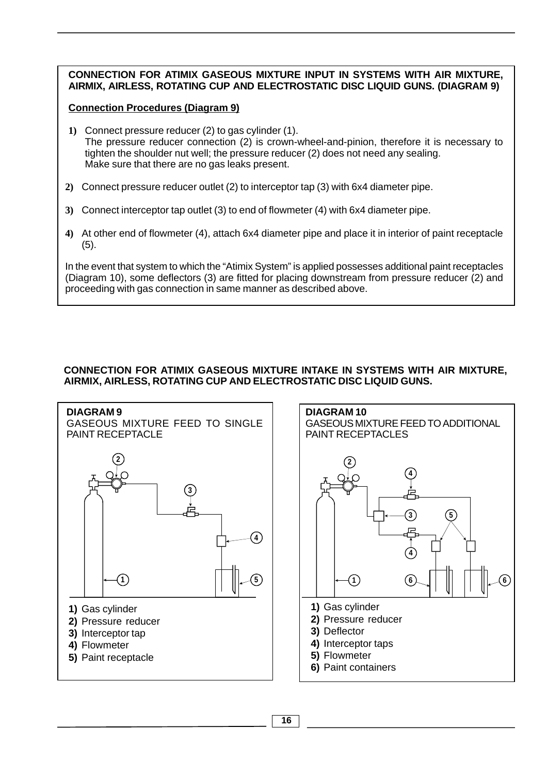#### **CONNECTION FOR ATIMIX GASEOUS MIXTURE INPUT IN SYSTEMS WITH AIR MIXTURE, AIRMIX, AIRLESS, ROTATING CUP AND ELECTROSTATIC DISC LIQUID GUNS. (DIAGRAM 9)**

#### **Connection Procedures (Diagram 9)**

- **1)** Connect pressure reducer (2) to gas cylinder (1). The pressure reducer connection (2) is crown-wheel-and-pinion, therefore it is necessary to tighten the shoulder nut well; the pressure reducer (2) does not need any sealing. Make sure that there are no gas leaks present.
- **2)** Connect pressure reducer outlet (2) to interceptor tap (3) with 6x4 diameter pipe.
- **3)** Connect interceptor tap outlet (3) to end of flowmeter (4) with 6x4 diameter pipe.
- **4)** At other end of flowmeter (4), attach 6x4 diameter pipe and place it in interior of paint receptacle (5).

In the event that system to which the "Atimix System" is applied possesses additional paint receptacles (Diagram 10), some deflectors (3) are fitted for placing downstream from pressure reducer (2) and proceeding with gas connection in same manner as described above.

#### **CONNECTION FOR ATIMIX GASEOUS MIXTURE INTAKE IN SYSTEMS WITH AIR MIXTURE, AIRMIX, AIRLESS, ROTATING CUP AND ELECTROSTATIC DISC LIQUID GUNS.**



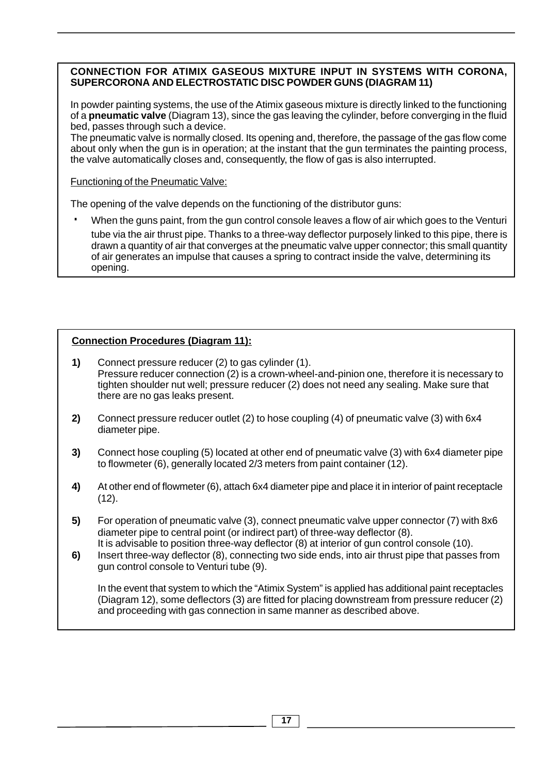#### **CONNECTION FOR ATIMIX GASEOUS MIXTURE INPUT IN SYSTEMS WITH CORONA, SUPERCORONA AND ELECTROSTATIC DISC POWDER GUNS (DIAGRAM 11)**

In powder painting systems, the use of the Atimix gaseous mixture is directly linked to the functioning of a **pneumatic valve** (Diagram 13), since the gas leaving the cylinder, before converging in the fluid bed, passes through such a device.

The pneumatic valve is normally closed. Its opening and, therefore, the passage of the gas flow come about only when the gun is in operation; at the instant that the gun terminates the painting process, the valve automatically closes and, consequently, the flow of gas is also interrupted.

Functioning of the Pneumatic Valve:

The opening of the valve depends on the functioning of the distributor guns:

When the guns paint, from the gun control console leaves a flow of air which goes to the Venturi tube via the air thrust pipe. Thanks to a three-way deflector purposely linked to this pipe, there is drawn a quantity of air that converges at the pneumatic valve upper connector; this small quantity of air generates an impulse that causes a spring to contract inside the valve, determining its opening.

# **Connection Procedures (Diagram 11):**

- **1)** Connect pressure reducer (2) to gas cylinder (1). Pressure reducer connection (2) is a crown-wheel-and-pinion one, therefore it is necessary to tighten shoulder nut well; pressure reducer (2) does not need any sealing. Make sure that there are no gas leaks present.
- **2)** Connect pressure reducer outlet (2) to hose coupling (4) of pneumatic valve (3) with 6x4 diameter pipe.
- **3)** Connect hose coupling (5) located at other end of pneumatic valve (3) with 6x4 diameter pipe to flowmeter (6), generally located 2/3 meters from paint container (12).
- **4)** At other end of flowmeter (6), attach 6x4 diameter pipe and place it in interior of paint receptacle  $(12)$ .
- **5)** For operation of pneumatic valve (3), connect pneumatic valve upper connector (7) with 8x6 diameter pipe to central point (or indirect part) of three-way deflector (8). It is advisable to position three-way deflector (8) at interior of gun control console (10).
- **6)** Insert three-way deflector (8), connecting two side ends, into air thrust pipe that passes from gun control console to Venturi tube (9).

In the event that system to which the "Atimix System" is applied has additional paint receptacles (Diagram 12), some deflectors (3) are fitted for placing downstream from pressure reducer (2) and proceeding with gas connection in same manner as described above.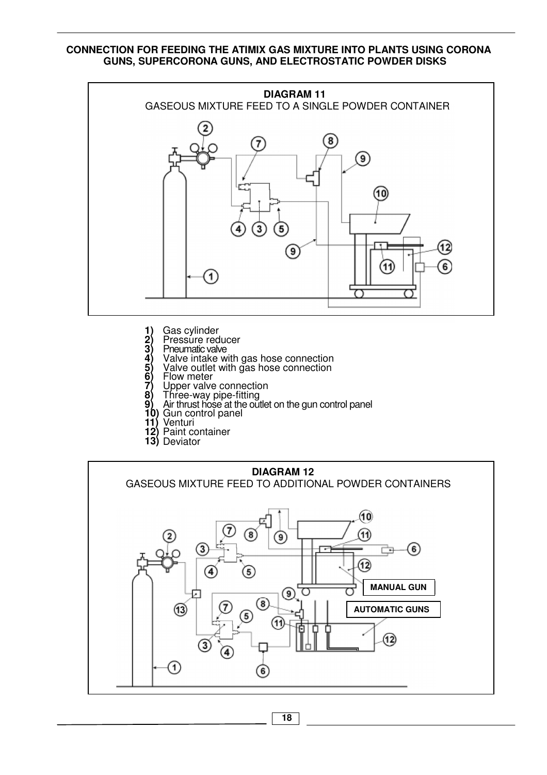#### **CONNECTION FOR FEEDING THE ATIMIX GAS MIXTURE INTO PLANTS USING CORONA GUNS, SUPERCORONA GUNS, AND ELECTROSTATIC POWDER DISKS**



- **1)** Gas cylinder
- **2)** Pressure reducer 1) Gas cylinder<br>
2) Pressure reduce<br>
3) Pneumatic valve<br>
4) Valve intake w<br>
5) Valve outlet wi<br>
6) Flow meter<br>
7) Upper valve cc<br>
8) Three-way pipe<br>
9) Air thrust hose a<br>
10) Gun control pa<br>
11) Venturi
- 
- **4)** Valve intake with gas hose connection
- **5)** Valve outlet with gas hose connection
- **6)** Flow meter
- **7)** Upper valve connection **8)** Three-way pipe-fitting
- **9)** Air thrust hose at the outlet on the gun control panel
- **10)** Gun control panel
- **11)** Venturi
- **12)** Paint container
- **13)** Deviator



**18**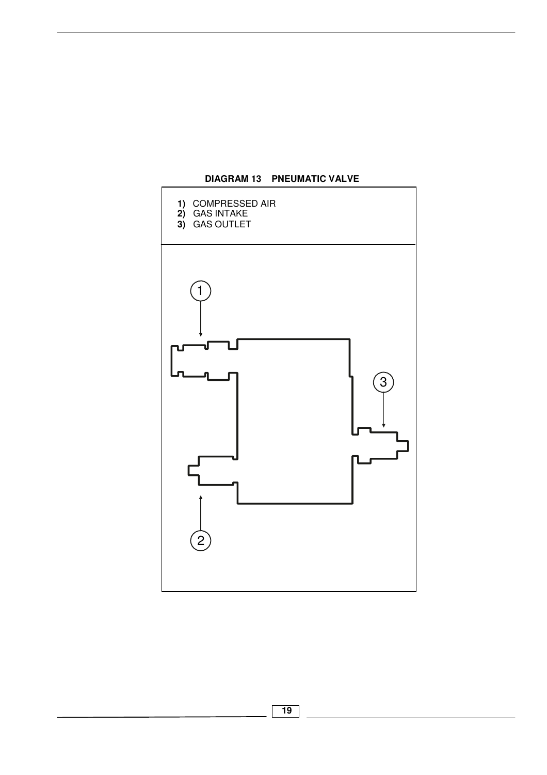

**DIAGRAM 13 PNEUMATIC VALVE**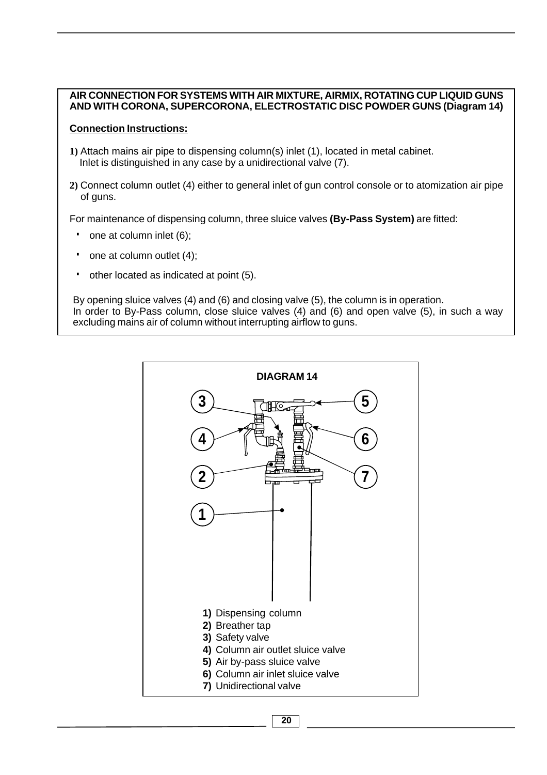#### **AIR CONNECTION FOR SYSTEMS WITH AIR MIXTURE, AIRMIX, ROTATING CUP LIQUID GUNS AND WITH CORONA, SUPERCORONA, ELECTROSTATIC DISC POWDER GUNS (Diagram 14)**

#### **Connection Instructions:**

- **1)** Attach mains air pipe to dispensing column(s) inlet (1), located in metal cabinet. Inlet is distinguished in any case by a unidirectional valve (7).
- **2)** Connect column outlet (4) either to general inlet of gun control console or to atomization air pipe of guns.

For maintenance of dispensing column, three sluice valves **(By-Pass System)** are fitted:

- one at column inlet (6);
- one at column outlet (4);
- other located as indicated at point (5).

By opening sluice valves (4) and (6) and closing valve (5), the column is in operation. In order to By-Pass column, close sluice valves (4) and (6) and open valve (5), in such a way excluding mains air of column without interrupting airflow to guns.



**20**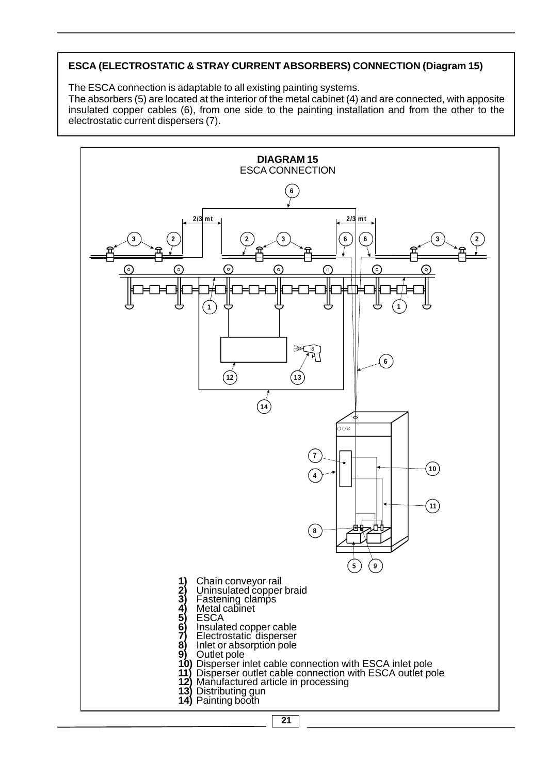# **ESCA (ELECTROSTATIC & STRAY CURRENT ABSORBERS) CONNECTION (Diagram 15)**

The ESCA connection is adaptable to all existing painting systems.

The absorbers (5) are located at the interior of the metal cabinet (4) and are connected, with apposite insulated copper cables (6), from one side to the painting installation and from the other to the electrostatic current dispersers (7).

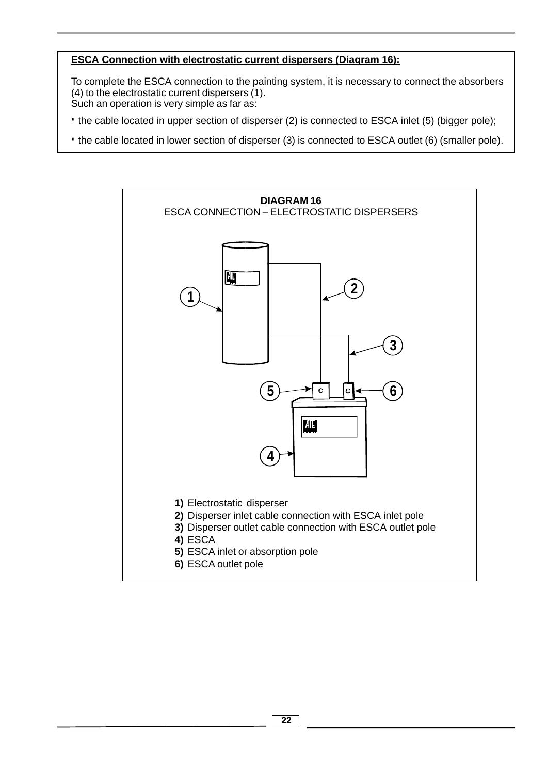### **ESCA Connection with electrostatic current dispersers (Diagram 16):**

To complete the ESCA connection to the painting system, it is necessary to connect the absorbers (4) to the electrostatic current dispersers (1). Such an operation is very simple as far as:

- ·the cable located in upper section of disperser (2) is connected to ESCA inlet (5) (bigger pole);
- ·the cable located in lower section of disperser (3) is connected to ESCA outlet (6) (smaller pole).

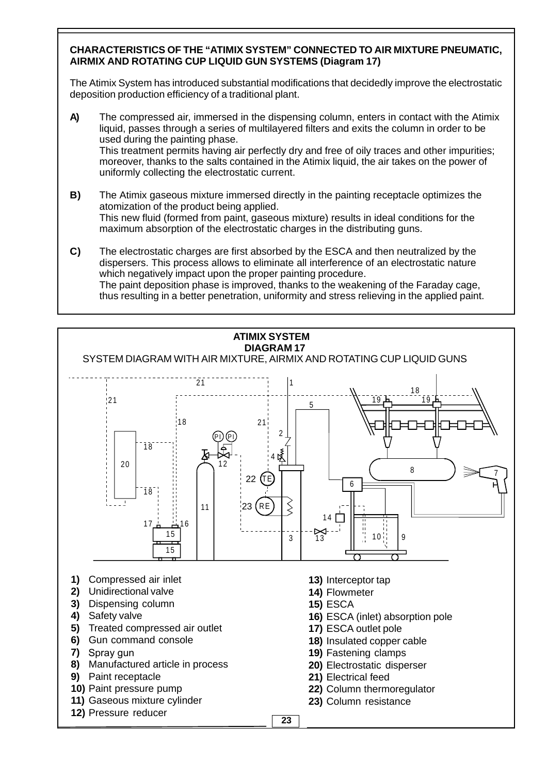#### **CHARACTERISTICS OF THE "ATIMIX SYSTEM" CONNECTED TO AIR MIXTURE PNEUMATIC, AIRMIX AND ROTATING CUP LIQUID GUN SYSTEMS (Diagram 17)**

The Atimix System has introduced substantial modifications that decidedly improve the electrostatic deposition production efficiency of a traditional plant.

- **A)** The compressed air, immersed in the dispensing column, enters in contact with the Atimix liquid, passes through a series of multilayered filters and exits the column in order to be used during the painting phase. This treatment permits having air perfectly dry and free of oily traces and other impurities; moreover, thanks to the salts contained in the Atimix liquid, the air takes on the power of uniformly collecting the electrostatic current.
- **B)** The Atimix gaseous mixture immersed directly in the painting receptacle optimizes the atomization of the product being applied. This new fluid (formed from paint, gaseous mixture) results in ideal conditions for the maximum absorption of the electrostatic charges in the distributing guns.
- **C)** The electrostatic charges are first absorbed by the ESCA and then neutralized by the dispersers. This process allows to eliminate all interference of an electrostatic nature which negatively impact upon the proper painting procedure. The paint deposition phase is improved, thanks to the weakening of the Faraday cage, thus resulting in a better penetration, uniformity and stress relieving in the applied paint.

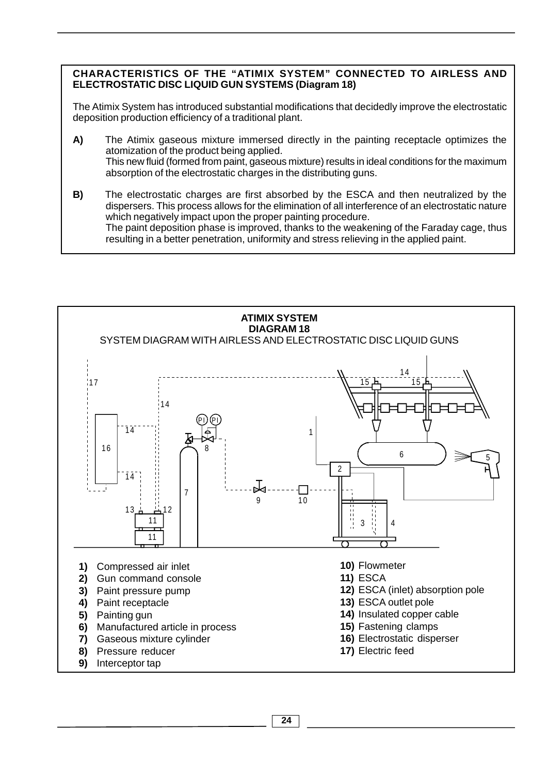#### **CHARACTERISTICS OF THE "ATIMIX SYSTEM" CONNECTED TO AIRLESS AND ELECTROSTATIC DISC LIQUID GUN SYSTEMS (Diagram 18)**

The Atimix System has introduced substantial modifications that decidedly improve the electrostatic deposition production efficiency of a traditional plant.

**A)** The Atimix gaseous mixture immersed directly in the painting receptacle optimizes the atomization of the product being applied. This new fluid (formed from paint, gaseous mixture) results in ideal conditions for the maximum absorption of the electrostatic charges in the distributing guns.

**B)** The electrostatic charges are first absorbed by the ESCA and then neutralized by the dispersers. This process allows for the elimination of all interference of an electrostatic nature which negatively impact upon the proper painting procedure. The paint deposition phase is improved, thanks to the weakening of the Faraday cage, thus resulting in a better penetration, uniformity and stress relieving in the applied paint.

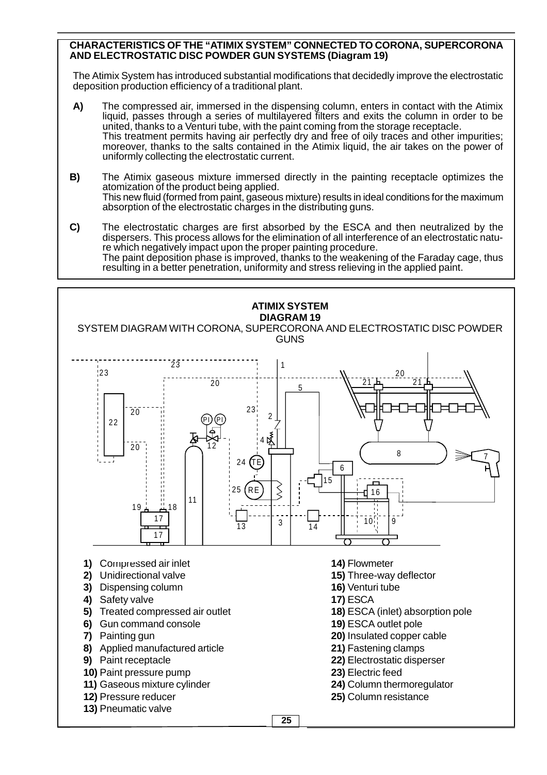#### **CHARACTERISTICS OF THE "ATIMIX SYSTEM" CONNECTED TO CORONA, SUPERCORONA AND ELECTROSTATIC DISC POWDER GUN SYSTEMS (Diagram 19)**

The Atimix System has introduced substantial modifications that decidedly improve the electrostatic deposition production efficiency of a traditional plant.

- **A)** The compressed air, immersed in the dispensing column, enters in contact with the Atimix liquid, passes through a series of multilayered filters and exits the column in order to be united, thanks to a Venturi tube, with the paint coming from the storage receptacle. This treatment permits having air perfectly dry and free of oily traces and other impurities; moreover, thanks to the salts contained in the Atimix liquid, the air takes on the power of uniformly collecting the electrostatic current.
- **B)** The Atimix gaseous mixture immersed directly in the painting receptacle optimizes the atomization of the product being applied. This new fluid (formed from paint, gaseous mixture) results in ideal conditions for the maximum absorption of the electrostatic charges in the distributing guns.
- **C)** The electrostatic charges are first absorbed by the ESCA and then neutralized by the dispersers. This process allows for the elimination of all interference of an electrostatic nature which negatively impact upon the proper painting procedure. The paint deposition phase is improved, thanks to the weakening of the Faraday cage, thus resulting in a better penetration, uniformity and stress relieving in the applied paint.

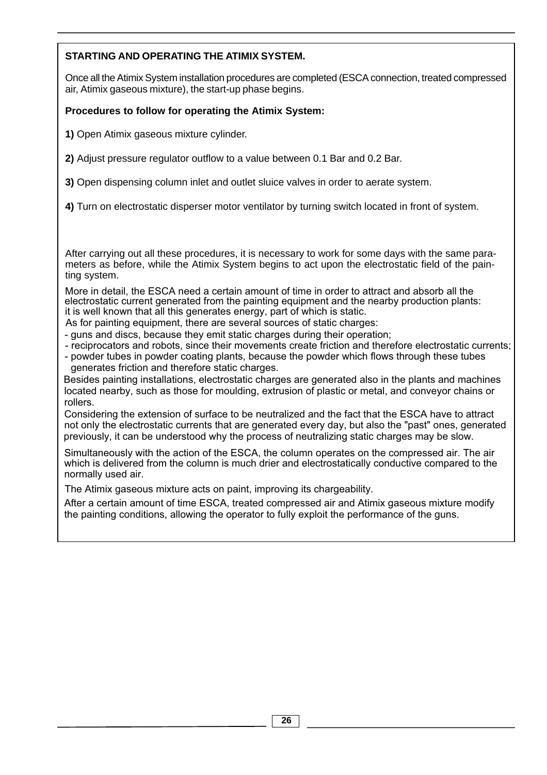# **STARTING AND OPERATING THE ATIMIX SYSTEM.**

Once all the Atimix System installation procedures are completed (ESCA connection, treated compressed air, Atimix gaseous mixture), the start-up phase begins.

## **Procedures to follow for operating the Atimix System:**

**1)** Open Atimix gaseous mixture cylinder.

**2)** Adjust pressure regulator outflow to a value between 0.1 Bar and 0.2 Bar.

**3)** Open dispensing column inlet and outlet sluice valves in order to aerate system.

**4)** Turn on electrostatic disperser motor ventilator by turning switch located in front of system.

After carrying out all these procedures, it is necessary to work for some days with the same parameters as before, while the Atimix System begins to act upon the electrostatic field of the painting system.

More in detail, the ESCA need a certain amount of time in order to attract and absorb all the electrostatic current generated from the painting equipment and the nearby production plants: it is well known that all this generates energy, part of which is static.

As for painting equipment, there are several sources of static charges:

- guns and discs, because they emit static charges during their operation;

- reciprocators and robots, since their movements create friction and therefore electrostatic currents;

- powder tubes in powder coating plants, because the powder which flows through these tubes generates friction and therefore static charges.

Besides painting installations, electrostatic charges are generated also in the plants and machines located nearby, such as those for moulding, extrusion of plastic or metal, and conveyor chains or rollers.

Considering the extension of surface to be neutralized and the fact that the ESCA have to attract not only the electrostatic currents that are generated every day, but also the "past" ones, generated previously, it can be understood why the process of neutralizing static charges may be slow.

Simultaneously with the action of the ESCA, the column operates on the compressed air. The air which is delivered from the column is much drier and electrostatically conductive compared to the normally used air.

The Atimix gaseous mixture acts on paint, improving its chargeability.

After a certain amount of time ESCA, treated compressed air and Atimix gaseous mixture modify the painting conditions, allowing the operator to fully exploit the performance of the guns.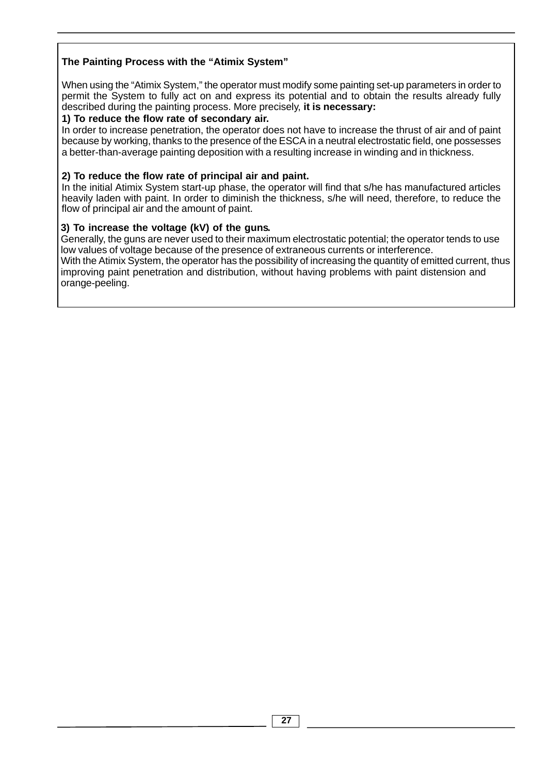# **The Painting Process with the "Atimix System"**

When using the "Atimix System," the operator must modify some painting set-up parameters in order to permit the System to fully act on and express its potential and to obtain the results already fully described during the painting process. More precisely, **it is necessary:**

#### **1) To reduce the flow rate of secondary air.**

In order to increase penetration, the operator does not have to increase the thrust of air and of paint because by working, thanks to the presence of the ESCA in a neutral electrostatic field, one possesses a better-than-average painting deposition with a resulting increase in winding and in thickness.

#### **2) To reduce the flow rate of principal air and paint.**

In the initial Atimix System start-up phase, the operator will find that s/he has manufactured articles heavily laden with paint. In order to diminish the thickness, s/he will need, therefore, to reduce the flow of principal air and the amount of paint.

#### **3) To increase the voltage (kV) of the guns.**

Generally, the guns are never used to their maximum electrostatic potential; the operator tends to use low values of voltage because of the presence of extraneous currents or interference.

orange-peeling. With the Atimix System, the operator has the possibility of increasing the quantity of emitted current, thus improving paint penetration and distribution, without having problems with paint distension and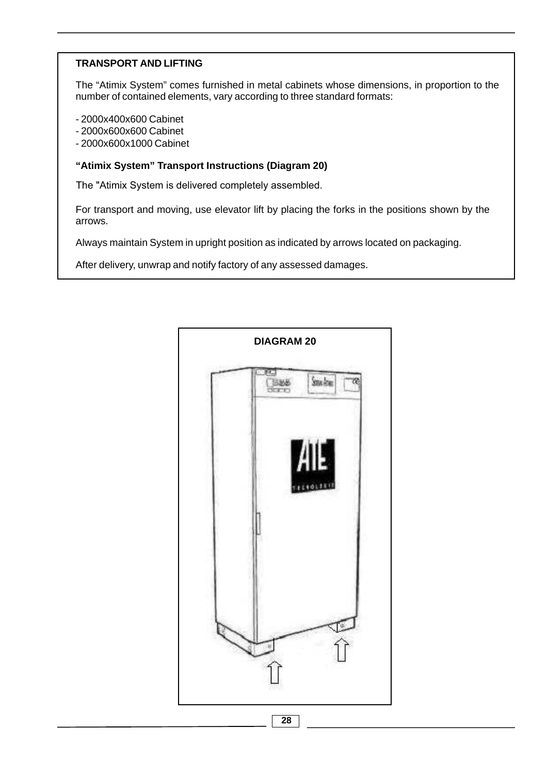## **TRANSPORT AND LIFTING**

The "Atimix System" comes furnished in metal cabinets whose dimensions, in proportion to the number of contained elements, vary according to three standard formats:

- 2000x400x600 Cabinet
- 2000x600x600 Cabinet
- 2000x600x1000 Cabinet

#### **"Atimix System" Transport Instructions (Diagram 20)**

The "Atimix System is delivered completely assembled.

For transport and moving, use elevator lift by placing the forks in the positions shown by the arrows.

Always maintain System in upright position as indicated by arrows located on packaging.

After delivery, unwrap and notify factory of any assessed damages.

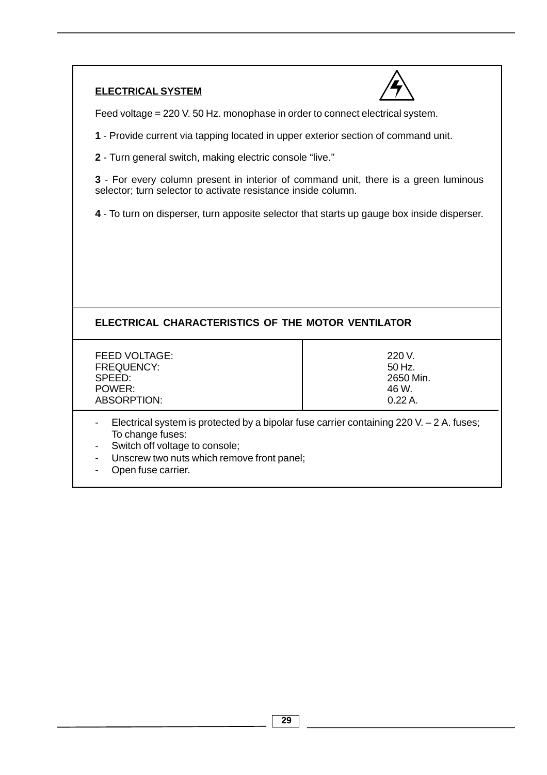# **ELECTRICAL SYSTEM**



Feed voltage = 220 V. 50 Hz. monophase in order to connect electrical system.

**1** - Provide current via tapping located in upper exterior section of command unit.

**2** - Turn general switch, making electric console "live."

**3** - For every column present in interior of command unit, there is a green luminous selector; turn selector to activate resistance inside column.

**4** - To turn on disperser, turn apposite selector that starts up gauge box inside disperser.

# **ELECTRICAL CHARACTERISTICS OF THE MOTOR VENTILATOR**

FEED VOLTAGE: 220 V. FREQUENCY:  $\qquad \qquad$  50 Hz. SPEED: 2650 Min.<br>POWER: 2650 Min. POWER: ABSORPTION: 0.22 A.

- Electrical system is protected by a bipolar fuse carrier containing 220 V.  $-$  2 A. fuses; To change fuses:
- Switch off voltage to console;
- Unscrew two nuts which remove front panel;
- Open fuse carrier.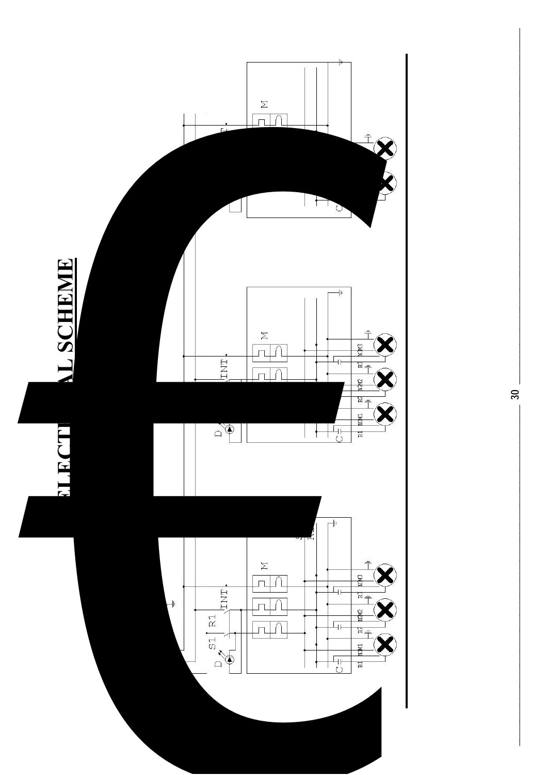

 $30<sub>o</sub>$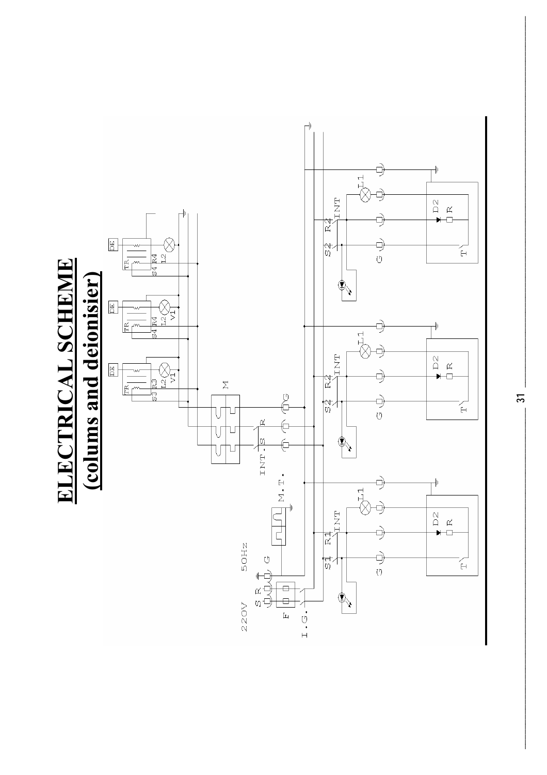

 $\overline{31}$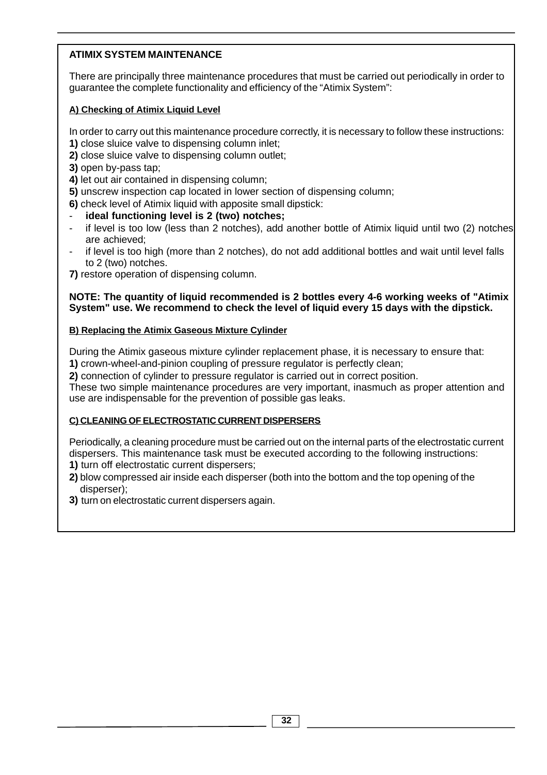# **ATIMIX SYSTEM MAINTENANCE**

There are principally three maintenance procedures that must be carried out periodically in order to guarantee the complete functionality and efficiency of the "Atimix System":

# **A) Checking of Atimix Liquid Level**

In order to carry out this maintenance procedure correctly, it is necessary to follow these instructions: **1)** close sluice valve to dispensing column inlet;

- **2)** close sluice valve to dispensing column outlet;
- **3)** open by-pass tap;
- **4)** let out air contained in dispensing column;
- **5)** unscrew inspection cap located in lower section of dispensing column;
- **6)** check level of Atimix liquid with apposite small dipstick:
- ideal functioning level is 2 (two) notches;
- are achieved; if level is too low (less than 2 notches), add another bottle of Atimix liquid until two (2) notches
- if level is too high (more than 2 notches), do not add additional bottles and wait until level falls to 2 (two) notches.

**7)** restore operation of dispensing column.

#### **System" use. We recommend to check the level of liquid every 15 days with the dipstick. NOTE: The quantity of liquid recommended is 2 bottles every 4-6 working weeks of "Atimix**

### **B) Replacing the Atimix Gaseous Mixture Cylinder**

During the Atimix gaseous mixture cylinder replacement phase, it is necessary to ensure that: **1)** crown-wheel-and-pinion coupling of pressure regulator is perfectly clean;

**2)** connection of cylinder to pressure regulator is carried out in correct position.

These two simple maintenance procedures are very important, inasmuch as proper attention and use are indispensable for the prevention of possible gas leaks.

### **C) CLEANING OF ELECTROSTATIC CURRENT DISPERSERS**

Periodically, a cleaning procedure must be carried out on the internal parts of the electrostatic current dispersers. This maintenance task must be executed according to the following instructions: **1)** turn off electrostatic current dispersers;

- **2)** blow compressed air inside each disperser (both into the bottom and the top opening of the disperser);
- **3)** turn on electrostatic current dispersers again.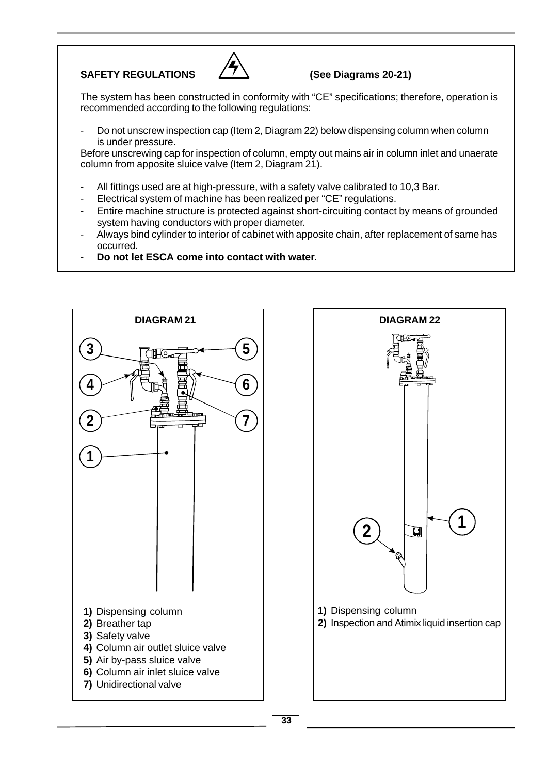# SAFETY REGULATIONS  $\angle$  /  $\angle$  (See Diagrams 20-21)



The system has been constructed in conformity with "CE" specifications; therefore, operation is recommended according to the following regulations:

is under pressure. Do not unscrew inspection cap (Item 2, Diagram 22) below dispensing column when column

Before unscrewing cap for inspection of column, empty out mains air in column inlet and unaerate column from apposite sluice valve (Item 2, Diagram 21).

- All fittings used are at high-pressure, with a safety valve calibrated to 10,3 Bar.
- Electrical system of machine has been realized per "CE" regulations.
- Entire machine structure is protected against short-circuiting contact by means of grounded system having conductors with proper diameter.
- Always bind cylinder to interior of cabinet with apposite chain, after replacement of same has occurred.
- **Do not let ESCA come into contact with water.**